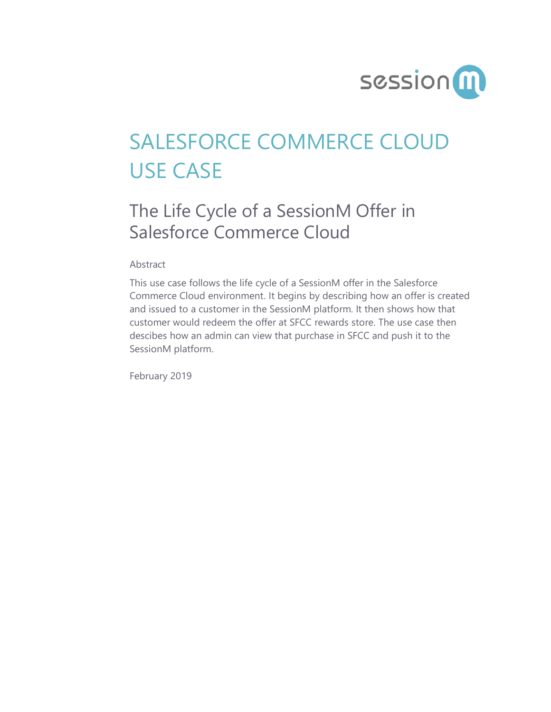

# SALESFORCE COMMERCE CLOUD USE CASE

## The Life Cycle of a SessionM Offer in Salesforce Commerce Cloud

Abstract

This use case follows the life cycle of a SessionM offer in the Salesforce Commerce Cloud environment. It begins by describing how an offer is created and issued to a customer in the SessionM platform. It then shows how that customer would redeem the offer at SFCC rewards store. The use case then descibes how an admin can view that purchase in SFCC and push it to the SessionM platform.

February 2019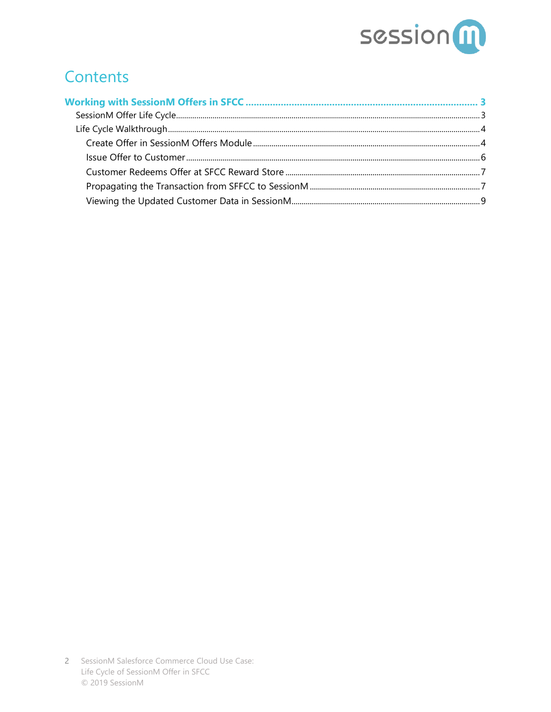

## **Contents**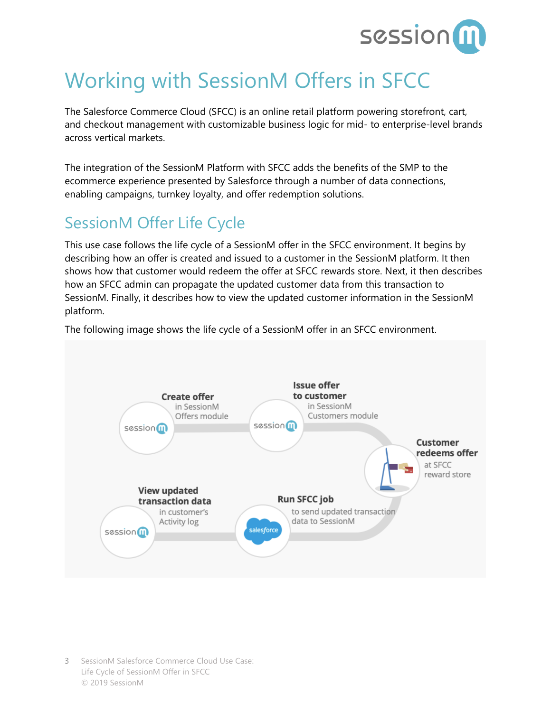

## <span id="page-2-0"></span>Working with SessionM Offers in SFCC

The Salesforce Commerce Cloud (SFCC) is an online retail platform powering storefront, cart, and checkout management with customizable business logic for mid- to enterprise-level brands across vertical markets.

The integration of the SessionM Platform with SFCC adds the benefits of the SMP to the ecommerce experience presented by Salesforce through a number of data connections, enabling campaigns, turnkey loyalty, and offer redemption solutions.

### <span id="page-2-1"></span>SessionM Offer Life Cycle

This use case follows the life cycle of a SessionM offer in the SFCC environment. It begins by describing how an offer is created and issued to a customer in the SessionM platform. It then shows how that customer would redeem the offer at SFCC rewards store. Next, it then describes how an SFCC admin can propagate the updated customer data from this transaction to SessionM. Finally, it describes how to view the updated customer information in the SessionM platform.

The following image shows the life cycle of a SessionM offer in an SFCC environment.

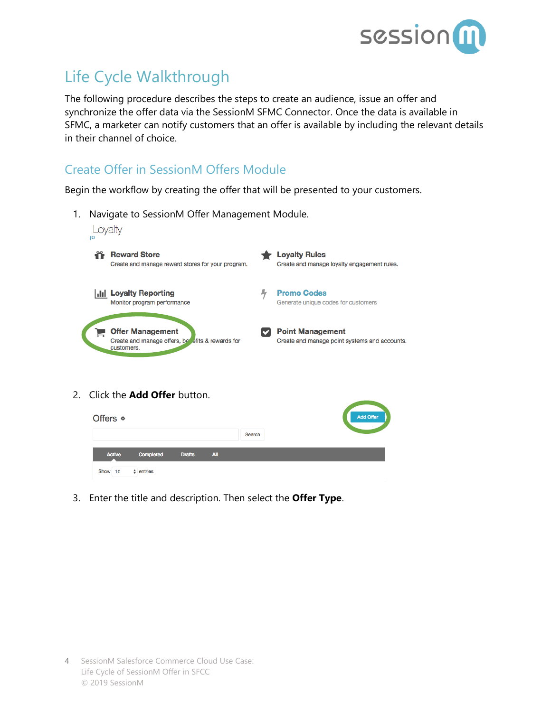

## <span id="page-3-0"></span>Life Cycle Walkthrough

The following procedure describes the steps to create an audience, issue an offer and synchronize the offer data via the SessionM SFMC Connector. Once the data is available in SFMC, a marketer can notify customers that an offer is available by including the relevant details in their channel of choice.

### <span id="page-3-1"></span>Create Offer in SessionM Offers Module

Begin the workflow by creating the offer that will be presented to your customers.

1. Navigate to SessionM Offer Management Module.



2. Click the **Add Offer** button.



3. Enter the title and description. Then select the **Offer Type**.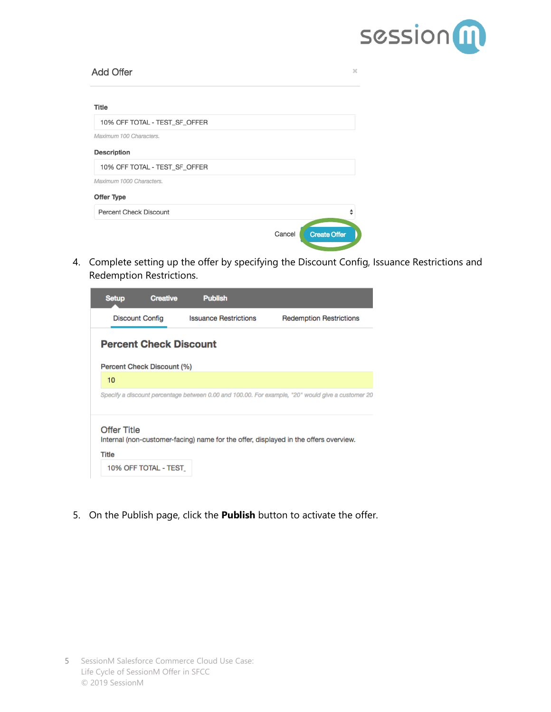

| <b>Add Offer</b>              | $\mathbb{X}$                  |
|-------------------------------|-------------------------------|
| <b>Title</b>                  |                               |
| 10% OFF TOTAL - TEST_SF_OFFER |                               |
| Maximum 100 Characters.       |                               |
| Description                   |                               |
| 10% OFF TOTAL - TEST_SF_OFFER |                               |
| Maximum 1000 Characters.      |                               |
| Offer Type                    |                               |
| <b>Percent Check Discount</b> |                               |
|                               | <b>Create Offer</b><br>Cancel |

4. Complete setting up the offer by specifying the Discount Config, Issuance Restrictions and Redemption Restrictions.

| <b>Setup</b>                | <b>Creative</b>               | <b>Publish</b>               |                                                                                                   |
|-----------------------------|-------------------------------|------------------------------|---------------------------------------------------------------------------------------------------|
|                             | <b>Discount Config</b>        | <b>Issuance Restrictions</b> | <b>Redemption Restrictions</b>                                                                    |
|                             | <b>Percent Check Discount</b> |                              |                                                                                                   |
|                             | Percent Check Discount (%)    |                              |                                                                                                   |
| 10                          |                               |                              |                                                                                                   |
|                             |                               |                              | Specify a discount percentage between 0.00 and 100.00. For example, "20" would give a customer 20 |
| <b>Offer Title</b><br>Title | 10% OFF TOTAL - TEST          |                              | Internal (non-customer-facing) name for the offer, displayed in the offers overview.              |

5. On the Publish page, click the **Publish** button to activate the offer.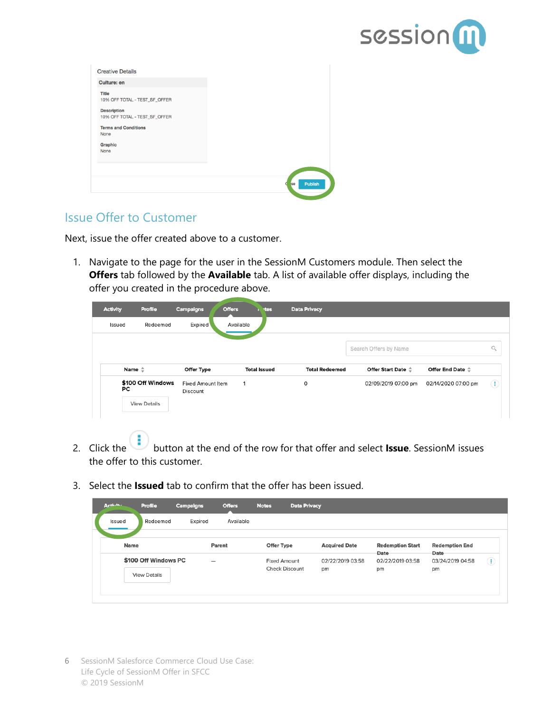

| <b>Creative Details</b>                             |                      |
|-----------------------------------------------------|----------------------|
| <b>Culture: en</b>                                  |                      |
| <b>Title</b><br>10% OFF TOTAL - TEST_SF_OFFER       |                      |
| <b>Description</b><br>10% OFF TOTAL - TEST_SF_OFFER |                      |
| <b>Terms and Conditions</b><br>None                 |                      |
| Graphic<br>None                                     |                      |
|                                                     |                      |
|                                                     | Publish<br><b>Se</b> |

#### <span id="page-5-0"></span>Issue Offer to Customer

Next, issue the offer created above to a customer.

1. Navigate to the page for the user in the SessionM Customers module. Then select the **Offers** tab followed by the **Available** tab. A list of available offer displays, including the offer you created in the procedure above.

| <b>Activity</b> | <b>Profile</b>                           | Campaigns                            | <b>Offers</b><br><b>tes</b> | <b>Data Privacy</b>   |                           |                          |          |
|-----------------|------------------------------------------|--------------------------------------|-----------------------------|-----------------------|---------------------------|--------------------------|----------|
| Issued          | Redeemed                                 | Expired                              | Available                   |                       |                           |                          |          |
|                 |                                          |                                      |                             |                       | Search Offers by Name     |                          | $\alpha$ |
|                 | Name $\stackrel{+}{\smile}$              | Offer Type                           | <b>Total Issued</b>         | <b>Total Redeemed</b> | <b>Offer Start Date ↓</b> | Offer End Date $\hat{=}$ |          |
| PC              | \$100 Off Windows<br><b>View Details</b> | <b>Fixed Amount Item</b><br>Discount | 1                           | $\circ$               | 02/09/2019 07:00 pm       | 02/14/2020 07:00 pm      | Ð        |

- 2. Click the button at the end of the row for that offer and select **Issue**. SessionM issues the offer to this customer.
- 3. Select the **Issued** tab to confirm that the offer has been issued.

| Activity. | Profile              | Campaigns | <b>Offers</b> | <b>Notes</b>          | <b>Data Privacy</b> |                      |                                 |                               |                        |
|-----------|----------------------|-----------|---------------|-----------------------|---------------------|----------------------|---------------------------------|-------------------------------|------------------------|
| Issued    | Redeemed             | Expired   | Available     |                       |                     |                      |                                 |                               |                        |
| Name      |                      |           | Parent        | Offer Type            |                     | <b>Acquired Date</b> | <b>Redemption Start</b><br>Date | <b>Redemption End</b><br>Date |                        |
|           | \$100 Off Windows PC |           |               | <b>Fixed Amount</b>   |                     | 02/22/2019 03:58     | 02/22/2019 03:58                | 03/24/2019 04:58              | $\left  \cdot \right $ |
|           | <b>View Details</b>  |           |               | <b>Check Discount</b> |                     | pm                   | pm                              | pm                            |                        |
|           |                      |           |               |                       |                     |                      |                                 |                               |                        |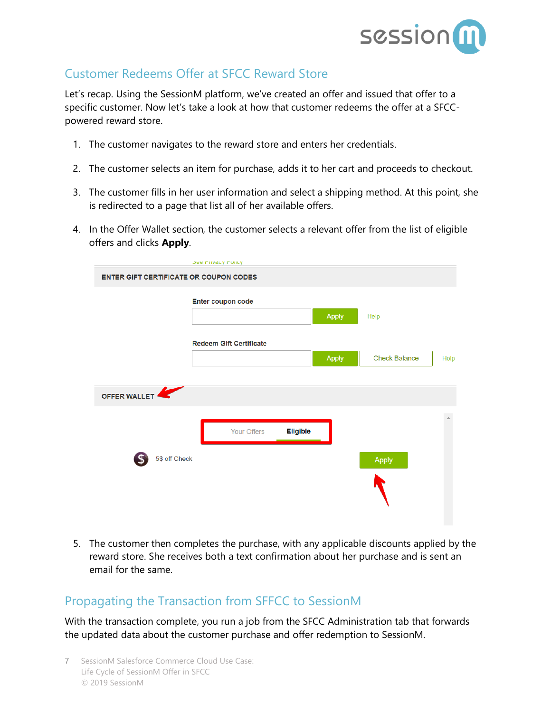

#### <span id="page-6-0"></span>Customer Redeems Offer at SFCC Reward Store

Let's recap. Using the SessionM platform, we've created an offer and issued that offer to a specific customer. Now let's take a look at how that customer redeems the offer at a SFCCpowered reward store.

- 1. The customer navigates to the reward store and enters her credentials.
- 2. The customer selects an item for purchase, adds it to her cart and proceeds to checkout.
- 3. The customer fills in her user information and select a shipping method. At this point, she is redirected to a page that list all of her available offers.
- 4. In the Offer Wallet section, the customer selects a relevant offer from the list of eligible offers and clicks **Apply**.

|                                               | <b>JUB FIIVALY FUILY</b>       |              |                      |      |
|-----------------------------------------------|--------------------------------|--------------|----------------------|------|
| <b>ENTER GIFT CERTIFICATE OR COUPON CODES</b> |                                |              |                      |      |
|                                               | Enter coupon code              | <b>Apply</b> | Help                 |      |
|                                               | <b>Redeem Gift Certificate</b> |              |                      |      |
|                                               |                                | <b>Apply</b> | <b>Check Balance</b> | Help |
|                                               |                                |              |                      |      |
| 47<br>OFFER WALLET                            |                                |              |                      |      |
|                                               | <b>Eligible</b><br>Your Offers |              |                      |      |
| 5\$ off Check                                 |                                |              | Apply                |      |
|                                               |                                |              |                      |      |

5. The customer then completes the purchase, with any applicable discounts applied by the reward store. She receives both a text confirmation about her purchase and is sent an email for the same.

#### <span id="page-6-1"></span>Propagating the Transaction from SFFCC to SessionM

With the transaction complete, you run a job from the SFCC Administration tab that forwards the updated data about the customer purchase and offer redemption to SessionM.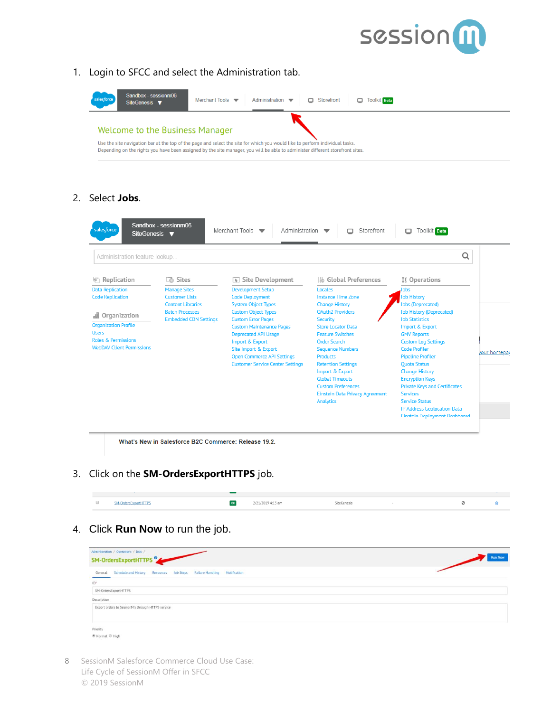

1. Login to SFCC and select the Administration tab.



#### 2. Select **Jobs**.

| Administration feature lookup                                                                                                       |                                                                                    |                                                                                                                                                                                                                                                                                    |                                                                                                                                                                                                                                                                                                                                                                | Q                                                                                                                                                                                                                                                                                                                                                                                                                                                    |              |
|-------------------------------------------------------------------------------------------------------------------------------------|------------------------------------------------------------------------------------|------------------------------------------------------------------------------------------------------------------------------------------------------------------------------------------------------------------------------------------------------------------------------------|----------------------------------------------------------------------------------------------------------------------------------------------------------------------------------------------------------------------------------------------------------------------------------------------------------------------------------------------------------------|------------------------------------------------------------------------------------------------------------------------------------------------------------------------------------------------------------------------------------------------------------------------------------------------------------------------------------------------------------------------------------------------------------------------------------------------------|--------------|
| n Replication                                                                                                                       | <b>Co</b> Sites                                                                    | $\boxed{\mathbf{k}}$ Site Development                                                                                                                                                                                                                                              | 腸 Global Preferences                                                                                                                                                                                                                                                                                                                                           | XX Operations                                                                                                                                                                                                                                                                                                                                                                                                                                        |              |
| <b>Data Replication</b><br><b>Code Replication</b>                                                                                  | <b>Manage Sites</b><br><b>Customer Lists</b>                                       | <b>Development Setup</b><br><b>Code Deployment</b>                                                                                                                                                                                                                                 | Locales<br><b>Instance Time Zone</b>                                                                                                                                                                                                                                                                                                                           | Jobs<br><b>Job History</b>                                                                                                                                                                                                                                                                                                                                                                                                                           |              |
| 晶 Organization<br><b>Organization Profile</b><br><b>Users</b><br><b>Roles &amp; Permissions</b><br><b>WebDAV Client Permissions</b> | <b>Content Libraries</b><br><b>Batch Processes</b><br><b>Embedded CDN Settings</b> | <b>System Object Types</b><br><b>Custom Object Types</b><br><b>Custom Error Pages</b><br><b>Custom Maintenance Pages</b><br><b>Deprecated API Usage</b><br>Import & Export<br>Site Import & Export<br><b>Open Commerce API Settings</b><br><b>Customer Service Center Settings</b> | <b>Change History</b><br><b>OAuth2 Providers</b><br><b>Security</b><br><b>Store Locator Data</b><br><b>Feature Switches</b><br><b>Order Search</b><br><b>Sequence Numbers</b><br><b>Products</b><br><b>Retention Settings</b><br>Import & Export<br><b>Global Timeouts</b><br><b>Custom Preferences</b><br>Einstein Data Privacy Agreement<br><b>Analytics</b> | lobs (Deprecated)<br><b>Job History (Deprecated)</b><br><b>Job Statistics</b><br>Import & Export<br><b>GMV Reports</b><br><b>Custom Log Settings</b><br><b>Code Profiler</b><br><b>Pipeline Profiler</b><br><b>Ouota Status</b><br><b>Change History</b><br><b>Encryption Keys</b><br><b>Private Keys and Certificates</b><br><b>Services</b><br><b>Service Status</b><br><b>IP Address Geolocation Data</b><br><b>Einstein Deployment Dashboard</b> | your homepad |

3. Click on the **SM-OrdersExportHTTPS** job.

| SM-OrdersExportHTTPS | 2/21/2019 4:13 am | SiteGenesis |  |  |
|----------------------|-------------------|-------------|--|--|
|                      |                   |             |  |  |

4. Click **Run Now** to run the job.

| Administration / Operations / Jobs /                                           |                |
|--------------------------------------------------------------------------------|----------------|
| SM-OrdersExportHTTPS <sup>9</sup>                                              | <b>Run Now</b> |
| General Schedule and History Resources Job Steps Failure Handling Notification |                |
| $ID^*$                                                                         |                |
| SM-OrdersExportHTTPS                                                           |                |
| Description                                                                    |                |
| Export orders to SessionM's through HTTPS service                              |                |
| Priority                                                                       |                |
| <sup>●</sup> Normal <sup>◎</sup> High                                          |                |